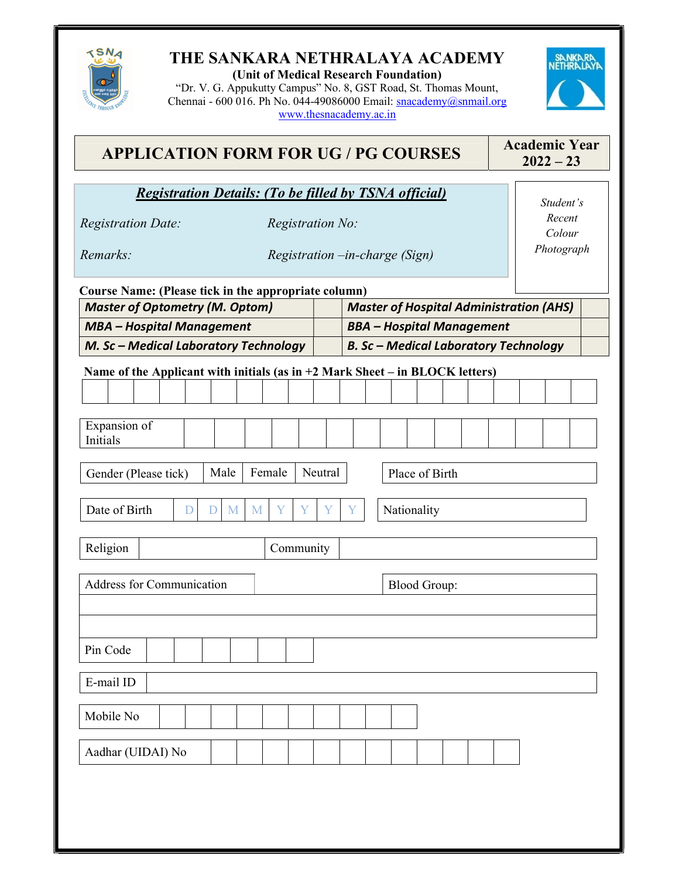

# THE SANKARA NETHRALAYA ACADEMY

(Unit of Medical Research Foundation) "Dr. V. G. Appukutty Campus" No. 8, GST Road, St. Thomas Mount, Chennai - 600 016. Ph No. 044-49086000 Email: **snacademy@snmail.org** www.thesnacademy.ac.in



| <b>APPLICATION FORM FOR UG / PG COURSES</b>                               |                                                                                         |                                                                                | <b>Academic Year</b><br>$2022 - 23$ |
|---------------------------------------------------------------------------|-----------------------------------------------------------------------------------------|--------------------------------------------------------------------------------|-------------------------------------|
| <b>Registration Date:</b>                                                 | <b>Registration Details: (To be filled by TSNA official)</b><br><b>Registration No:</b> |                                                                                | Student's<br>Recent                 |
| Remarks:                                                                  |                                                                                         | <i>Registration</i> $-in-charge(Sign)$                                         | Colour<br>Photograph                |
| <b>Course Name: (Please tick in the appropriate column)</b>               |                                                                                         |                                                                                |                                     |
| <b>Master of Optometry (M. Optom)</b>                                     |                                                                                         | <b>Master of Hospital Administration (AHS)</b>                                 |                                     |
| <b>MBA</b> - Hospital Management<br>M. Sc - Medical Laboratory Technology |                                                                                         | <b>BBA</b> - Hospital Management<br><b>B. Sc-Medical Laboratory Technology</b> |                                     |
|                                                                           |                                                                                         |                                                                                |                                     |
|                                                                           |                                                                                         | Name of the Applicant with initials (as in $+2$ Mark Sheet – in BLOCK letters) |                                     |
| Expansion of<br>Initials                                                  |                                                                                         |                                                                                |                                     |
| Male<br>Gender (Please tick)                                              | Female<br>Neutral                                                                       | Place of Birth                                                                 |                                     |
| Date of Birth<br>D<br>D                                                   | Y<br>M<br>M<br>Y<br>Y                                                                   | Nationality<br>Y                                                               |                                     |
| Religion                                                                  | Community                                                                               |                                                                                |                                     |
| Address for Communication                                                 |                                                                                         | <b>Blood Group:</b>                                                            |                                     |
|                                                                           |                                                                                         |                                                                                |                                     |
| Pin Code                                                                  |                                                                                         |                                                                                |                                     |
| E-mail ID                                                                 |                                                                                         |                                                                                |                                     |
| Mobile No                                                                 |                                                                                         |                                                                                |                                     |
| Aadhar (UIDAI) No                                                         |                                                                                         |                                                                                |                                     |
|                                                                           |                                                                                         |                                                                                |                                     |
|                                                                           |                                                                                         |                                                                                |                                     |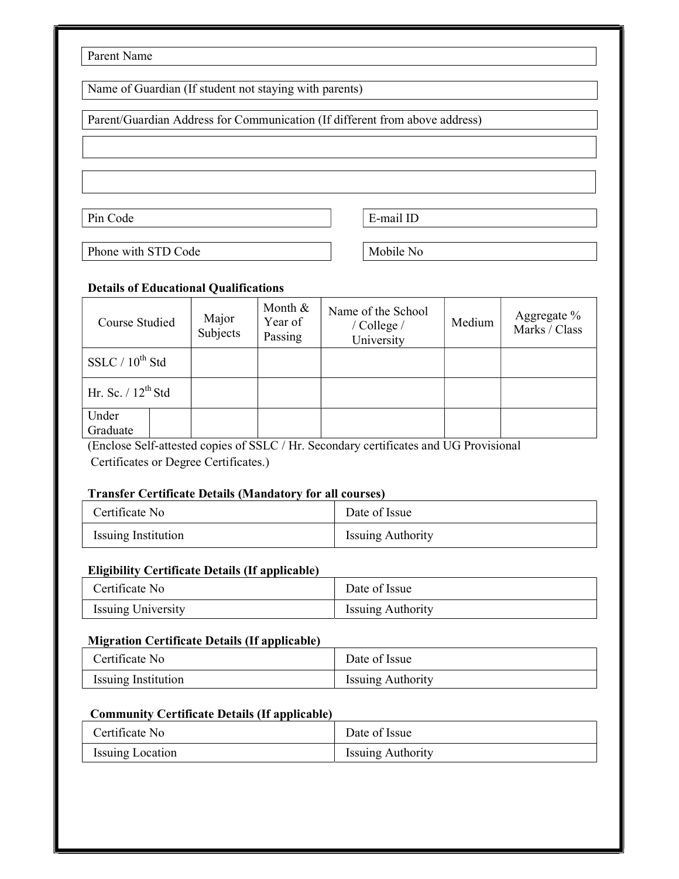Name of Guardian (If student not staying with parents)

Parent/Guardian Address for Communication (If different from above address)

Pin Code  $\vert$  E-mail ID

Phone with STD Code Mobile No

## Details of Educational Qualifications

| Course Studied         | Major<br>Subjects | Month &<br>Year of<br>Passing | Name of the School<br>/ College /<br>University | Medium | Aggregate %<br>Marks / Class |
|------------------------|-------------------|-------------------------------|-------------------------------------------------|--------|------------------------------|
| SSLC $/10^{th}$ Std    |                   |                               |                                                 |        |                              |
| Hr. Sc. $/12^{th}$ Std |                   |                               |                                                 |        |                              |
| Under<br>Graduate      |                   |                               |                                                 |        |                              |

(Enclose Self-attested copies of SSLC / Hr. Secondary certificates and UG Provisional Certificates or Degree Certificates.)

#### Transfer Certificate Details (Mandatory for all courses)

| Certificate No             | Date of Issue            |
|----------------------------|--------------------------|
| <b>Issuing Institution</b> | <b>Issuing Authority</b> |

## Eligibility Certificate Details (If applicable)

| Certificate No            | Date of Issue            |
|---------------------------|--------------------------|
| <b>Issuing University</b> | <b>Issuing Authority</b> |

### Migration Certificate Details (If applicable)

| Certificate No      | Date of Issue            |
|---------------------|--------------------------|
| Issuing Institution | <b>Issuing Authority</b> |

## Community Certificate Details (If applicable)

| Certificate No          | Date of Issue            |
|-------------------------|--------------------------|
| <b>Issuing Location</b> | <b>Issuing Authority</b> |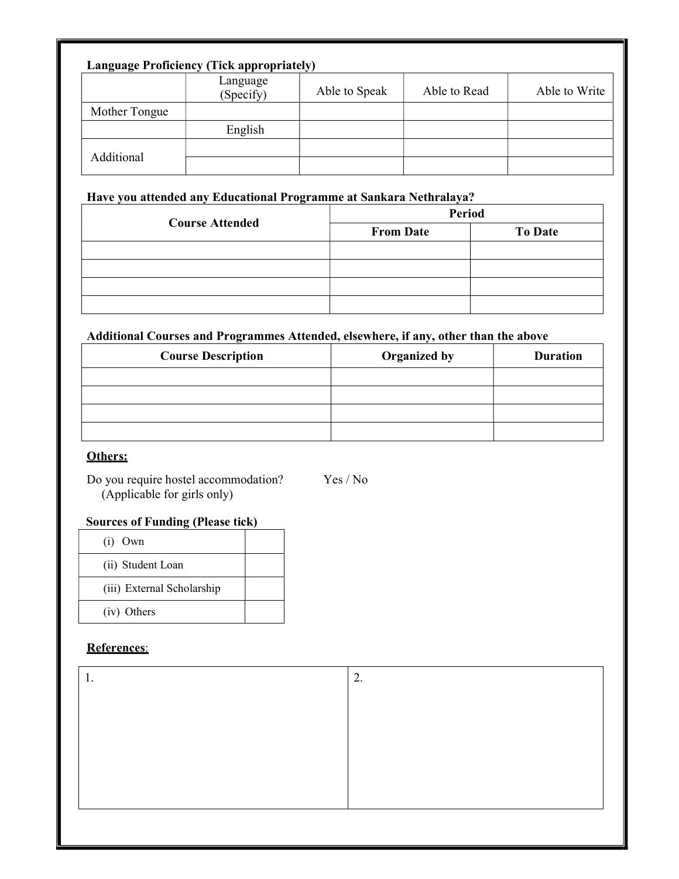|               | <b>Language Proficiency (Tick appropriately)</b> |               |              |               |
|---------------|--------------------------------------------------|---------------|--------------|---------------|
|               | Language<br>(Specify)                            | Able to Speak | Able to Read | Able to Write |
| Mother Tongue |                                                  |               |              |               |
|               | English                                          |               |              |               |
| Additional    |                                                  |               |              |               |

## Have you attended any Educational Programme at Sankara Nethralaya?

| <b>Course Attended</b> | <b>Period</b>    |                |  |
|------------------------|------------------|----------------|--|
|                        | <b>From Date</b> | <b>To Date</b> |  |
|                        |                  |                |  |
|                        |                  |                |  |
|                        |                  |                |  |
|                        |                  |                |  |

## Additional Courses and Programmes Attended, elsewhere, if any, other than the above

| <b>Course Description</b> | Organized by | <b>Duration</b> |
|---------------------------|--------------|-----------------|
|                           |              |                 |
|                           |              |                 |
|                           |              |                 |
|                           |              |                 |

#### Others:

Do you require hostel accommodation? Yes / No (Applicable for girls only)

## Sources of Funding (Please tick)

| $(i)$ Own                  |  |
|----------------------------|--|
| (ii) Student Loan          |  |
| (iii) External Scholarship |  |
| (iv) Others                |  |

## References:

| . . | ∍<br>Ź. |
|-----|---------|
|     |         |
|     |         |
|     |         |
|     |         |
|     |         |